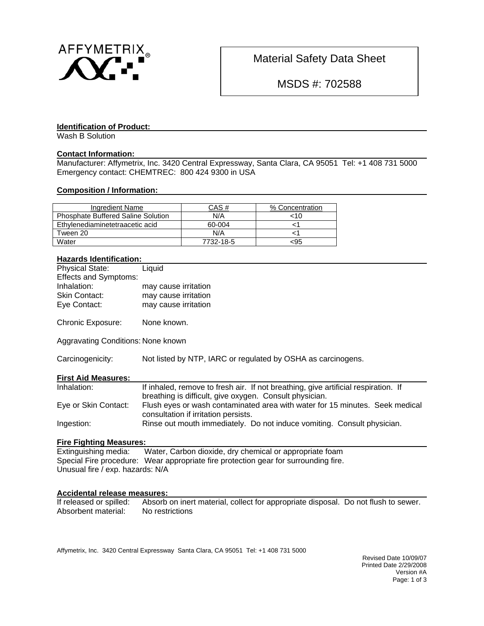

Material Safety Data Sheet

MSDS #: 702588

#### **Identification of Product:**

Wash B Solution

#### **Contact Information:**

Manufacturer: Affymetrix, Inc. 3420 Central Expressway, Santa Clara, CA 95051 Tel: +1 408 731 5000 Emergency contact: CHEMTREC: 800 424 9300 in USA

#### **Composition / Information:**

| Ingredient Name                           | CAS #     | % Concentration |
|-------------------------------------------|-----------|-----------------|
| <b>Phosphate Buffered Saline Solution</b> | N/A       | <10             |
| Ethylenediaminetetraacetic acid           | 60-004    |                 |
| Tween 20                                  | N/A       |                 |
| Water                                     | 7732-18-5 | <95             |

#### **Hazards Identification:**

| <b>Physical State:</b>       | Liquid               |
|------------------------------|----------------------|
| <b>Effects and Symptoms:</b> |                      |
| Inhalation:                  | may cause irritation |
| <b>Skin Contact:</b>         | may cause irritation |
| Eye Contact:                 | may cause irritation |
|                              |                      |

Chronic Exposure: None known.

Aggravating Conditions: None known

Carcinogenicity: Not listed by NTP, IARC or regulated by OSHA as carcinogens.

#### **First Aid Measures:**

| Inhalation:          | If inhaled, remove to fresh air. If not breathing, give artificial respiration. If |
|----------------------|------------------------------------------------------------------------------------|
|                      | breathing is difficult, give oxygen. Consult physician.                            |
| Eye or Skin Contact: | Flush eyes or wash contaminated area with water for 15 minutes. Seek medical       |
|                      | consultation if irritation persists.                                               |
| Ingestion:           | Rinse out mouth immediately. Do not induce vomiting. Consult physician.            |

#### **Fire Fighting Measures:**

Extinguishing media: Water, Carbon dioxide, dry chemical or appropriate foam Special Fire procedure: Wear appropriate fire protection gear for surrounding fire. Unusual fire / exp. hazards: N/A

# **Accidental release measures:**<br>If released or spilled: Absorb

Absorb on inert material, collect for appropriate disposal. Do not flush to sewer. Absorbent material: No restrictions

Affymetrix, Inc. 3420 Central Expressway Santa Clara, CA 95051 Tel: +1 408 731 5000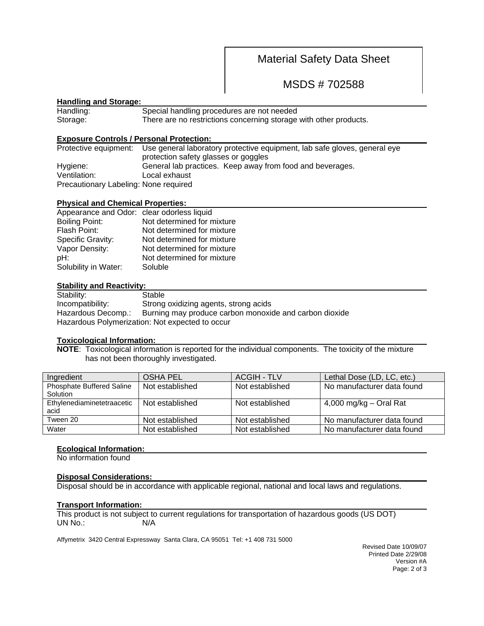## Material Safety Data Sheet

MSDS # 702588

#### **Handling and Storage:**

| Handling: | Special handling procedures are not needed                        |
|-----------|-------------------------------------------------------------------|
| Storage:  | There are no restrictions concerning storage with other products. |

#### **Exposure Controls / Personal Protection:**

| Protective equipment:                 | Use general laboratory protective equipment, lab safe gloves, general eye |  |
|---------------------------------------|---------------------------------------------------------------------------|--|
|                                       | protection safety glasses or goggles                                      |  |
| Hygiene:                              | General lab practices. Keep away from food and beverages.                 |  |
| Ventilation:                          | Local exhaust                                                             |  |
| Precautionary Labeling: None required |                                                                           |  |

#### **Physical and Chemical Properties:**

| Appearance and Odor: clear odorless liquid |                            |
|--------------------------------------------|----------------------------|
| <b>Boiling Point:</b>                      | Not determined for mixture |
| Flash Point:                               | Not determined for mixture |
| <b>Specific Gravity:</b>                   | Not determined for mixture |
| Vapor Density:                             | Not determined for mixture |
| pH:                                        | Not determined for mixture |
| Solubility in Water:                       | Soluble                    |

#### **Stability and Reactivity:**

| Stability:                                      | Stable                                                 |  |
|-------------------------------------------------|--------------------------------------------------------|--|
| Incompatibility:                                | Strong oxidizing agents, strong acids                  |  |
| Hazardous Decomp.:                              | Burning may produce carbon monoxide and carbon dioxide |  |
| Hazardous Polymerization: Not expected to occur |                                                        |  |

#### **Toxicological Information:**

**NOTE**: Toxicological information is reported for the individual components. The toxicity of the mixture has not been thoroughly investigated.

| Ingredient                                   | OSHA PEL        | <b>ACGIH - TLV</b> | Lethal Dose (LD, LC, etc.) |
|----------------------------------------------|-----------------|--------------------|----------------------------|
| <b>Phosphate Buffered Saline</b><br>Solution | Not established | Not established    | No manufacturer data found |
| Ethylenediaminetetraacetic<br>acid           | Not established | Not established    | 4,000 mg/kg $-$ Oral Rat   |
| Tween 20                                     | Not established | Not established    | No manufacturer data found |
| Water                                        | Not established | Not established    | No manufacturer data found |

#### **Ecological Information:**

No information found

#### **Disposal Considerations:**

Disposal should be in accordance with applicable regional, national and local laws and regulations.

#### **Transport Information:**

This product is not subject to current regulations for transportation of hazardous goods (US DOT) UN No.: N/A

Affymetrix 3420 Central Expressway Santa Clara, CA 95051 Tel: +1 408 731 5000